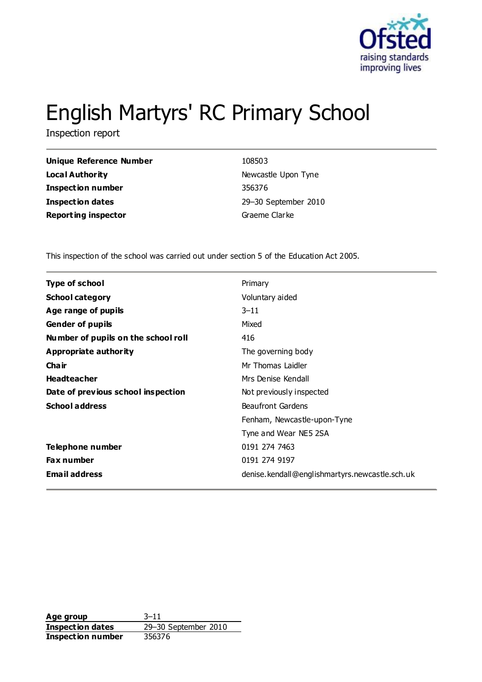

# English Martyrs' RC Primary School

Inspection report

| <b>Unique Reference Number</b> |
|--------------------------------|
| Local Authority                |
| <b>Inspection number</b>       |
| <b>Inspection dates</b>        |
| <b>Reporting inspector</b>     |

**Unique Reference Number** 108503 **Newcastle Upon Tyne Inspection number** 356376 **Inspection dates** 29–30 September 2010 **Graeme Clarke** 

This inspection of the school was carried out under section 5 of the Education Act 2005.

| <b>Type of school</b>               | Primary                                        |
|-------------------------------------|------------------------------------------------|
| <b>School category</b>              | Voluntary aided                                |
| Age range of pupils                 | $3 - 11$                                       |
| <b>Gender of pupils</b>             | Mixed                                          |
| Number of pupils on the school roll | 416                                            |
| Appropriate authority               | The governing body                             |
| Cha ir                              | Mr Thomas Laidler                              |
| <b>Headteacher</b>                  | Mrs Denise Kendall                             |
| Date of previous school inspection  | Not previously inspected                       |
| <b>School address</b>               | <b>Beaufront Gardens</b>                       |
|                                     | Fenham, Newcastle-upon-Tyne                    |
|                                     | Tyne and Wear NE5 2SA                          |
| <b>Telephone number</b>             | 0191 274 7463                                  |
| <b>Fax number</b>                   | 0191 274 9197                                  |
| <b>Email address</b>                | denise.kendall@englishmartyrs.newcastle.sch.uk |

**Age group** 3–11 **Inspection dates** 29–30 September 2010 **Inspection number** 356376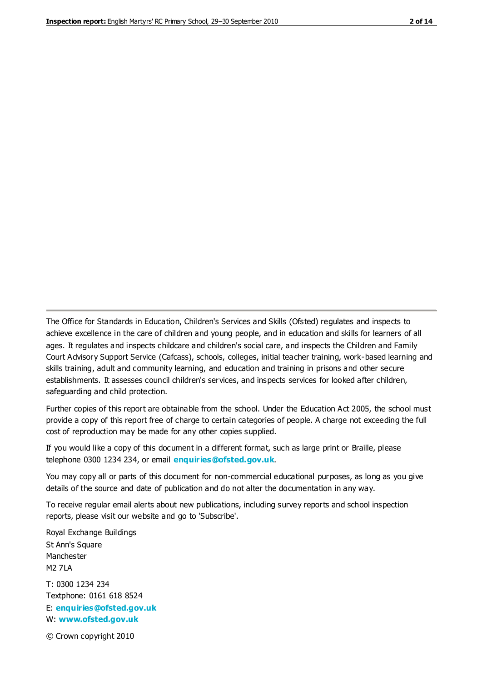The Office for Standards in Education, Children's Services and Skills (Ofsted) regulates and inspects to achieve excellence in the care of children and young people, and in education and skills for learners of all ages. It regulates and inspects childcare and children's social care, and inspects the Children and Family Court Advisory Support Service (Cafcass), schools, colleges, initial teacher training, work-based learning and skills training, adult and community learning, and education and training in prisons and other secure establishments. It assesses council children's services, and inspects services for looked after children, safeguarding and child protection.

Further copies of this report are obtainable from the school. Under the Education Act 2005, the school must provide a copy of this report free of charge to certain categories of people. A charge not exceeding the full cost of reproduction may be made for any other copies supplied.

If you would like a copy of this document in a different format, such as large print or Braille, please telephone 0300 1234 234, or email **[enquiries@ofsted.gov.uk](mailto:enquiries@ofsted.gov.uk)**.

You may copy all or parts of this document for non-commercial educational purposes, as long as you give details of the source and date of publication and do not alter the documentation in any way.

To receive regular email alerts about new publications, including survey reports and school inspection reports, please visit our website and go to 'Subscribe'.

Royal Exchange Buildings St Ann's Square Manchester M2 7LA T: 0300 1234 234 Textphone: 0161 618 8524 E: **[enquiries@ofsted.gov.uk](mailto:enquiries@ofsted.gov.uk)**

W: **[www.ofsted.gov.uk](http://www.ofsted.gov.uk/)**

© Crown copyright 2010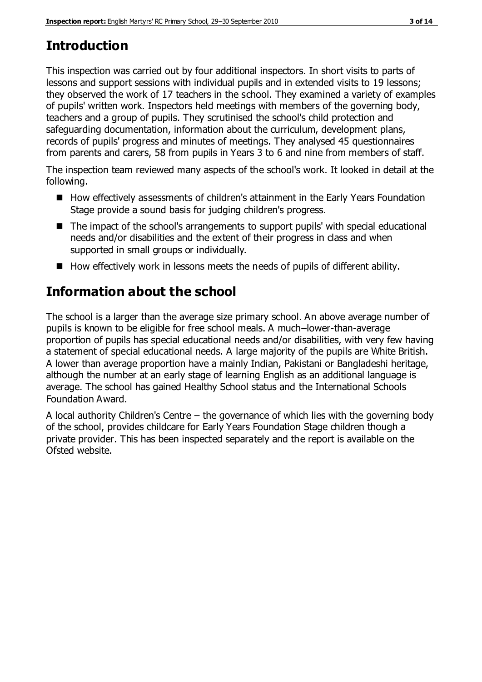# **Introduction**

This inspection was carried out by four additional inspectors. In short visits to parts of lessons and support sessions with individual pupils and in extended visits to 19 lessons; they observed the work of 17 teachers in the school. They examined a variety of examples of pupils' written work. Inspectors held meetings with members of the governing body, teachers and a group of pupils. They scrutinised the school's child protection and safeguarding documentation, information about the curriculum, development plans, records of pupils' progress and minutes of meetings. They analysed 45 questionnaires from parents and carers, 58 from pupils in Years 3 to 6 and nine from members of staff.

The inspection team reviewed many aspects of the school's work. It looked in detail at the following.

- How effectively assessments of children's attainment in the Early Years Foundation Stage provide a sound basis for judging children's progress.
- The impact of the school's arrangements to support pupils' with special educational needs and/or disabilities and the extent of their progress in class and when supported in small groups or individually.
- $\blacksquare$  How effectively work in lessons meets the needs of pupils of different ability.

# **Information about the school**

The school is a larger than the average size primary school. An above average number of pupils is known to be eligible for free school meals. A much–lower-than-average proportion of pupils has special educational needs and/or disabilities, with very few having a statement of special educational needs. A large majority of the pupils are White British. A lower than average proportion have a mainly Indian, Pakistani or Bangladeshi heritage, although the number at an early stage of learning English as an additional language is average. The school has gained Healthy School status and the International Schools Foundation Award.

A local authority Children's Centre – the governance of which lies with the governing body of the school, provides childcare for Early Years Foundation Stage children though a private provider. This has been inspected separately and the report is available on the Ofsted website.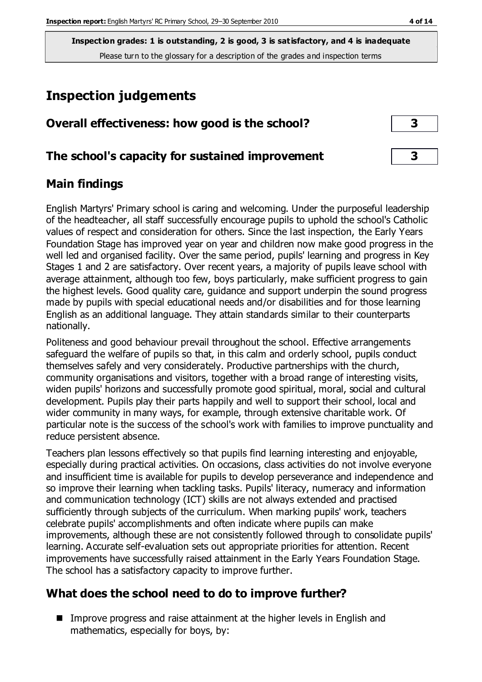**Inspection grades: 1 is outstanding, 2 is good, 3 is satisfactory, and 4 is inadequate** Please turn to the glossary for a description of the grades and inspection terms

# **Inspection judgements**

| Overall effectiveness: how good is the school?  |  |
|-------------------------------------------------|--|
| The school's capacity for sustained improvement |  |

## **Main findings**

English Martyrs' Primary school is caring and welcoming. Under the purposeful leadership of the headteacher, all staff successfully encourage pupils to uphold the school's Catholic values of respect and consideration for others. Since the last inspection, the Early Years Foundation Stage has improved year on year and children now make good progress in the well led and organised facility. Over the same period, pupils' learning and progress in Key Stages 1 and 2 are satisfactory. Over recent years, a majority of pupils leave school with average attainment, although too few, boys particularly, make sufficient progress to gain the highest levels. Good quality care, guidance and support underpin the sound progress made by pupils with special educational needs and/or disabilities and for those learning English as an additional language. They attain standards similar to their counterparts nationally.

Politeness and good behaviour prevail throughout the school. Effective arrangements safeguard the welfare of pupils so that, in this calm and orderly school, pupils conduct themselves safely and very considerately. Productive partnerships with the church, community organisations and visitors, together with a broad range of interesting visits, widen pupils' horizons and successfully promote good spiritual, moral, social and cultural development. Pupils play their parts happily and well to support their school, local and wider community in many ways, for example, through extensive charitable work. Of particular note is the success of the school's work with families to improve punctuality and reduce persistent absence.

Teachers plan lessons effectively so that pupils find learning interesting and enjoyable, especially during practical activities. On occasions, class activities do not involve everyone and insufficient time is available for pupils to develop perseverance and independence and so improve their learning when tackling tasks. Pupils' literacy, numeracy and information and communication technology (ICT) skills are not always extended and practised sufficiently through subjects of the curriculum. When marking pupils' work, teachers celebrate pupils' accomplishments and often indicate where pupils can make improvements, although these are not consistently followed through to consolidate pupils' learning. Accurate self-evaluation sets out appropriate priorities for attention. Recent improvements have successfully raised attainment in the Early Years Foundation Stage. The school has a satisfactory capacity to improve further.

## **What does the school need to do to improve further?**

■ Improve progress and raise attainment at the higher levels in English and mathematics, especially for boys, by: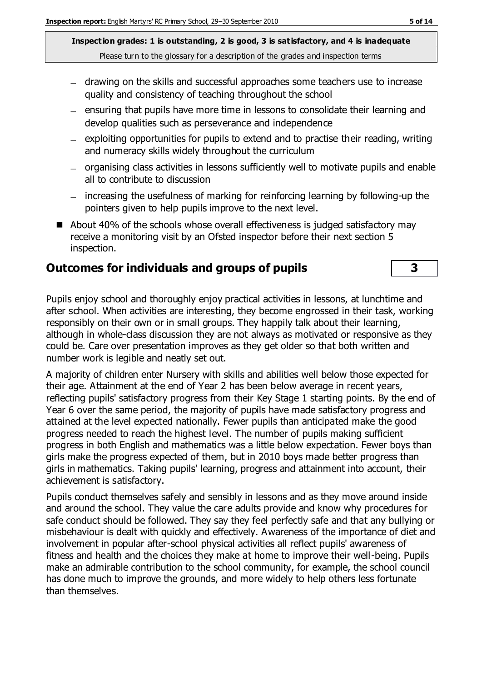**Inspection grades: 1 is outstanding, 2 is good, 3 is satisfactory, and 4 is inadequate** Please turn to the glossary for a description of the grades and inspection terms

- drawing on the skills and successful approaches some teachers use to increase quality and consistency of teaching throughout the school
- $-$  ensuring that pupils have more time in lessons to consolidate their learning and develop qualities such as perseverance and independence
- $-$  exploiting opportunities for pupils to extend and to practise their reading, writing and numeracy skills widely throughout the curriculum
- organising class activities in lessons sufficiently well to motivate pupils and enable all to contribute to discussion
- increasing the usefulness of marking for reinforcing learning by following-up the pointers given to help pupils improve to the next level.
- About 40% of the schools whose overall effectiveness is judged satisfactory may receive a monitoring visit by an Ofsted inspector before their next section 5 inspection.

#### **Outcomes for individuals and groups of pupils 3**

Pupils enjoy school and thoroughly enjoy practical activities in lessons, at lunchtime and after school. When activities are interesting, they become engrossed in their task, working responsibly on their own or in small groups. They happily talk about their learning, although in whole-class discussion they are not always as motivated or responsive as they could be. Care over presentation improves as they get older so that both written and number work is legible and neatly set out.

A majority of children enter Nursery with skills and abilities well below those expected for their age. Attainment at the end of Year 2 has been below average in recent years, reflecting pupils' satisfactory progress from their Key Stage 1 starting points. By the end of Year 6 over the same period, the majority of pupils have made satisfactory progress and attained at the level expected nationally. Fewer pupils than anticipated make the good progress needed to reach the highest level. The number of pupils making sufficient progress in both English and mathematics was a little below expectation. Fewer boys than girls make the progress expected of them, but in 2010 boys made better progress than girls in mathematics. Taking pupils' learning, progress and attainment into account, their achievement is satisfactory.

Pupils conduct themselves safely and sensibly in lessons and as they move around inside and around the school. They value the care adults provide and know why procedures for safe conduct should be followed. They say they feel perfectly safe and that any bullying or misbehaviour is dealt with quickly and effectively. Awareness of the importance of diet and involvement in popular after-school physical activities all reflect pupils' awareness of fitness and health and the choices they make at home to improve their well-being. Pupils make an admirable contribution to the school community, for example, the school council has done much to improve the grounds, and more widely to help others less fortunate than themselves.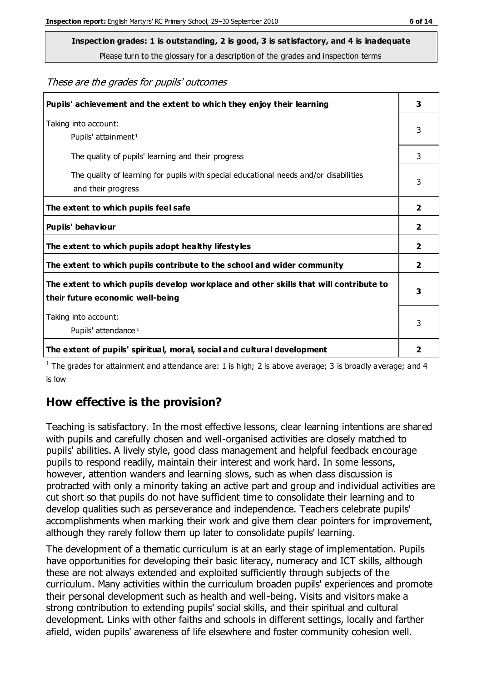**Inspection grades: 1 is outstanding, 2 is good, 3 is satisfactory, and 4 is inadequate**

Please turn to the glossary for a description of the grades and inspection terms

These are the grades for pupils' outcomes

| Pupils' achievement and the extent to which they enjoy their learning                                                     | 3              |
|---------------------------------------------------------------------------------------------------------------------------|----------------|
| Taking into account:<br>Pupils' attainment <sup>1</sup>                                                                   |                |
| The quality of pupils' learning and their progress                                                                        | 3              |
| The quality of learning for pupils with special educational needs and/or disabilities<br>and their progress               | 3              |
| The extent to which pupils feel safe                                                                                      | $\overline{2}$ |
| Pupils' behaviour                                                                                                         | 2              |
| The extent to which pupils adopt healthy lifestyles                                                                       | 2              |
| The extent to which pupils contribute to the school and wider community                                                   |                |
| The extent to which pupils develop workplace and other skills that will contribute to<br>their future economic well-being |                |
| Taking into account:<br>Pupils' attendance <sup>1</sup>                                                                   | 3              |
| The extent of pupils' spiritual, moral, social and cultural development                                                   | 2              |

<sup>1</sup> The grades for attainment and attendance are: 1 is high; 2 is above average; 3 is broadly average; and 4 is low

## **How effective is the provision?**

Teaching is satisfactory. In the most effective lessons, clear learning intentions are shared with pupils and carefully chosen and well-organised activities are closely matched to pupils' abilities. A lively style, good class management and helpful feedback encourage pupils to respond readily, maintain their interest and work hard. In some lessons, however, attention wanders and learning slows, such as when class discussion is protracted with only a minority taking an active part and group and individual activities are cut short so that pupils do not have sufficient time to consolidate their learning and to develop qualities such as perseverance and independence. Teachers celebrate pupils' accomplishments when marking their work and give them clear pointers for improvement, although they rarely follow them up later to consolidate pupils' learning.

The development of a thematic curriculum is at an early stage of implementation. Pupils have opportunities for developing their basic literacy, numeracy and ICT skills, although these are not always extended and exploited sufficiently through subjects of the curriculum. Many activities within the curriculum broaden pupils' experiences and promote their personal development such as health and well-being. Visits and visitors make a strong contribution to extending pupils' social skills, and their spiritual and cultural development. Links with other faiths and schools in different settings, locally and farther afield, widen pupils' awareness of life elsewhere and foster community cohesion well.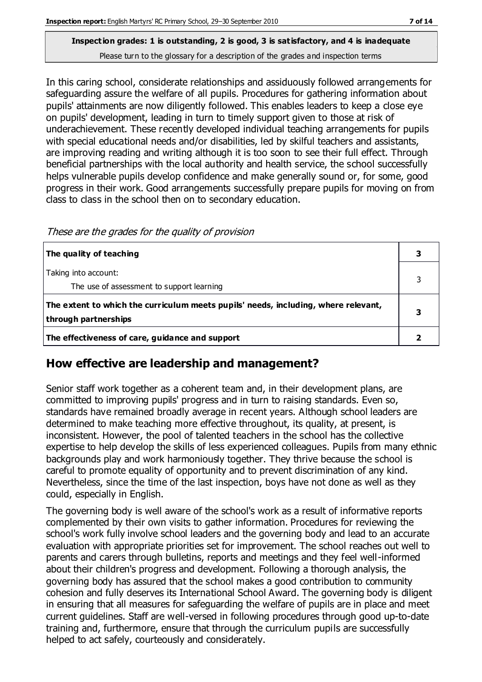#### **Inspection grades: 1 is outstanding, 2 is good, 3 is satisfactory, and 4 is inadequate** Please turn to the glossary for a description of the grades and inspection terms

In this caring school, considerate relationships and assiduously followed arrangements for safeguarding assure the welfare of all pupils. Procedures for gathering information about pupils' attainments are now diligently followed. This enables leaders to keep a close eye on pupils' development, leading in turn to timely support given to those at risk of underachievement. These recently developed individual teaching arrangements for pupils with special educational needs and/or disabilities, led by skilful teachers and assistants, are improving reading and writing although it is too soon to see their full effect. Through beneficial partnerships with the local authority and health service, the school successfully helps vulnerable pupils develop confidence and make generally sound or, for some, good progress in their work. Good arrangements successfully prepare pupils for moving on from class to class in the school then on to secondary education.

These are the grades for the quality of provision

| The quality of teaching                                                                                    |  |
|------------------------------------------------------------------------------------------------------------|--|
| Taking into account:<br>The use of assessment to support learning                                          |  |
| The extent to which the curriculum meets pupils' needs, including, where relevant,<br>through partnerships |  |
| The effectiveness of care, guidance and support                                                            |  |

## **How effective are leadership and management?**

Senior staff work together as a coherent team and, in their development plans, are committed to improving pupils' progress and in turn to raising standards. Even so, standards have remained broadly average in recent years. Although school leaders are determined to make teaching more effective throughout, its quality, at present, is inconsistent. However, the pool of talented teachers in the school has the collective expertise to help develop the skills of less experienced colleagues. Pupils from many ethnic backgrounds play and work harmoniously together. They thrive because the school is careful to promote equality of opportunity and to prevent discrimination of any kind. Nevertheless, since the time of the last inspection, boys have not done as well as they could, especially in English.

The governing body is well aware of the school's work as a result of informative reports complemented by their own visits to gather information. Procedures for reviewing the school's work fully involve school leaders and the governing body and lead to an accurate evaluation with appropriate priorities set for improvement. The school reaches out well to parents and carers through bulletins, reports and meetings and they feel well-informed about their children's progress and development. Following a thorough analysis, the governing body has assured that the school makes a good contribution to community cohesion and fully deserves its International School Award. The governing body is diligent in ensuring that all measures for safeguarding the welfare of pupils are in place and meet current guidelines. Staff are well-versed in following procedures through good up-to-date training and, furthermore, ensure that through the curriculum pupils are successfully helped to act safely, courteously and considerately.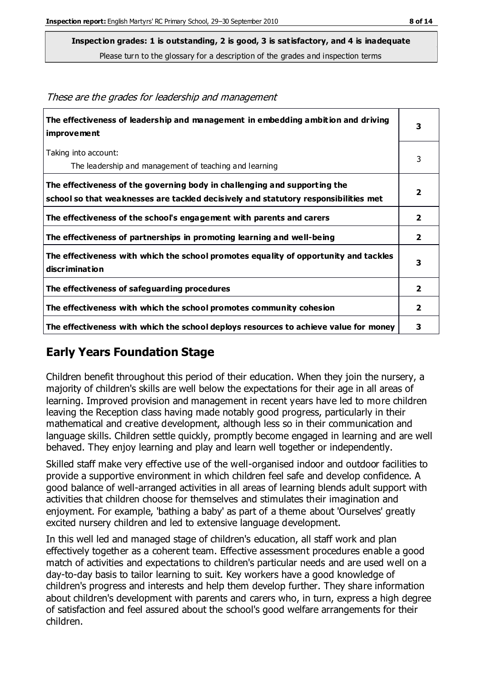**Inspection grades: 1 is outstanding, 2 is good, 3 is satisfactory, and 4 is inadequate**

Please turn to the glossary for a description of the grades and inspection terms

| The effectiveness of leadership and management in embedding ambition and driving<br><i>improvement</i>                                                           | 3              |
|------------------------------------------------------------------------------------------------------------------------------------------------------------------|----------------|
| Taking into account:                                                                                                                                             | 3              |
| The leadership and management of teaching and learning                                                                                                           |                |
| The effectiveness of the governing body in challenging and supporting the<br>school so that weaknesses are tackled decisively and statutory responsibilities met | $\overline{2}$ |
| The effectiveness of the school's engagement with parents and carers                                                                                             | 2              |
| The effectiveness of partnerships in promoting learning and well-being                                                                                           | $\overline{2}$ |
| The effectiveness with which the school promotes equality of opportunity and tackles<br>discrimination                                                           | 3              |
| The effectiveness of safeguarding procedures                                                                                                                     | $\overline{2}$ |
| The effectiveness with which the school promotes community cohesion                                                                                              | $\mathbf{2}$   |
| The effectiveness with which the school deploys resources to achieve value for money                                                                             | 3              |

These are the grades for leadership and management

## **Early Years Foundation Stage**

Children benefit throughout this period of their education. When they join the nursery, a majority of children's skills are well below the expectations for their age in all areas of learning. Improved provision and management in recent years have led to more children leaving the Reception class having made notably good progress, particularly in their mathematical and creative development, although less so in their communication and language skills. Children settle quickly, promptly become engaged in learning and are well behaved. They enjoy learning and play and learn well together or independently.

Skilled staff make very effective use of the well-organised indoor and outdoor facilities to provide a supportive environment in which children feel safe and develop confidence. A good balance of well-arranged activities in all areas of learning blends adult support with activities that children choose for themselves and stimulates their imagination and enjoyment. For example, 'bathing a baby' as part of a theme about 'Ourselves' greatly excited nursery children and led to extensive language development.

In this well led and managed stage of children's education, all staff work and plan effectively together as a coherent team. Effective assessment procedures enable a good match of activities and expectations to children's particular needs and are used well on a day-to-day basis to tailor learning to suit. Key workers have a good knowledge of children's progress and interests and help them develop further. They share information about children's development with parents and carers who, in turn, express a high degree of satisfaction and feel assured about the school's good welfare arrangements for their children.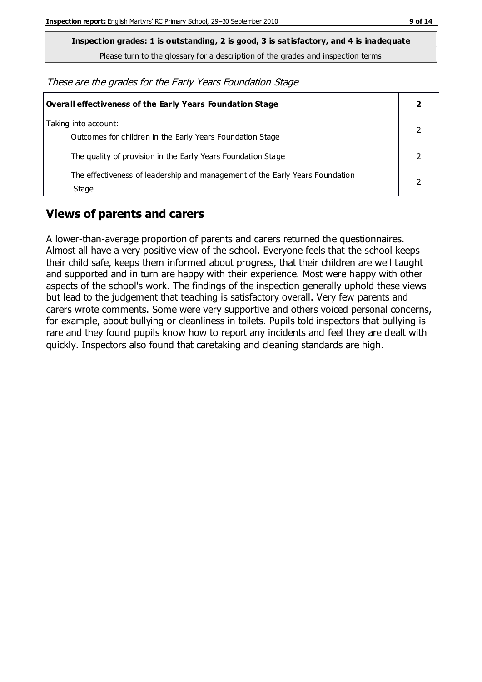**Inspection grades: 1 is outstanding, 2 is good, 3 is satisfactory, and 4 is inadequate**

Please turn to the glossary for a description of the grades and inspection terms

These are the grades for the Early Years Foundation Stage

| <b>Overall effectiveness of the Early Years Foundation Stage</b>                      |  |  |
|---------------------------------------------------------------------------------------|--|--|
| Taking into account:<br>Outcomes for children in the Early Years Foundation Stage     |  |  |
| The quality of provision in the Early Years Foundation Stage                          |  |  |
| The effectiveness of leadership and management of the Early Years Foundation<br>Stage |  |  |

## **Views of parents and carers**

A lower-than-average proportion of parents and carers returned the questionnaires. Almost all have a very positive view of the school. Everyone feels that the school keeps their child safe, keeps them informed about progress, that their children are well taught and supported and in turn are happy with their experience. Most were happy with other aspects of the school's work. The findings of the inspection generally uphold these views but lead to the judgement that teaching is satisfactory overall. Very few parents and carers wrote comments. Some were very supportive and others voiced personal concerns, for example, about bullying or cleanliness in toilets. Pupils told inspectors that bullying is rare and they found pupils know how to report any incidents and feel they are dealt with quickly. Inspectors also found that caretaking and cleaning standards are high.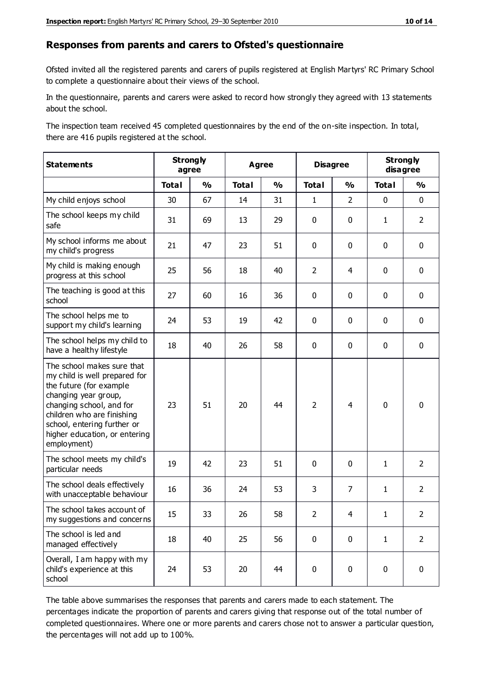#### **Responses from parents and carers to Ofsted's questionnaire**

Ofsted invited all the registered parents and carers of pupils registered at English Martyrs' RC Primary School to complete a questionnaire about their views of the school.

In the questionnaire, parents and carers were asked to record how strongly they agreed with 13 statements about the school.

The inspection team received 45 completed questionnaires by the end of the on-site inspection. In total, there are 416 pupils registered at the school.

| <b>Statements</b>                                                                                                                                                                                                                                       | <b>Strongly</b><br>agree |               | <b>Agree</b> |               | <b>Disagree</b> |                | <b>Strongly</b><br>disagree |                |
|---------------------------------------------------------------------------------------------------------------------------------------------------------------------------------------------------------------------------------------------------------|--------------------------|---------------|--------------|---------------|-----------------|----------------|-----------------------------|----------------|
|                                                                                                                                                                                                                                                         | <b>Total</b>             | $\frac{1}{2}$ | <b>Total</b> | $\frac{1}{2}$ | <b>Total</b>    | $\frac{1}{2}$  | <b>Total</b>                | $\frac{1}{2}$  |
| My child enjoys school                                                                                                                                                                                                                                  | 30                       | 67            | 14           | 31            | $\mathbf{1}$    | $\overline{2}$ | $\mathbf 0$                 | $\mathbf 0$    |
| The school keeps my child<br>safe                                                                                                                                                                                                                       | 31                       | 69            | 13           | 29            | 0               | $\mathbf 0$    | $\mathbf{1}$                | $\overline{2}$ |
| My school informs me about<br>my child's progress                                                                                                                                                                                                       | 21                       | 47            | 23           | 51            | 0               | $\mathbf{0}$   | $\mathbf 0$                 | $\mathbf 0$    |
| My child is making enough<br>progress at this school                                                                                                                                                                                                    | 25                       | 56            | 18           | 40            | $\overline{2}$  | 4              | $\mathbf 0$                 | $\mathbf 0$    |
| The teaching is good at this<br>school                                                                                                                                                                                                                  | 27                       | 60            | 16           | 36            | 0               | $\mathbf 0$    | $\mathbf 0$                 | $\mathbf 0$    |
| The school helps me to<br>support my child's learning                                                                                                                                                                                                   | 24                       | 53            | 19           | 42            | 0               | $\mathbf{0}$   | $\mathbf 0$                 | $\mathbf 0$    |
| The school helps my child to<br>have a healthy lifestyle                                                                                                                                                                                                | 18                       | 40            | 26           | 58            | 0               | $\mathbf 0$    | $\mathbf 0$                 | $\mathbf 0$    |
| The school makes sure that<br>my child is well prepared for<br>the future (for example<br>changing year group,<br>changing school, and for<br>children who are finishing<br>school, entering further or<br>higher education, or entering<br>employment) | 23                       | 51            | 20           | 44            | $\overline{2}$  | 4              | $\mathbf 0$                 | $\mathbf 0$    |
| The school meets my child's<br>particular needs                                                                                                                                                                                                         | 19                       | 42            | 23           | 51            | $\mathbf 0$     | $\mathbf 0$    | $\mathbf{1}$                | $\overline{2}$ |
| The school deals effectively<br>with unacceptable behaviour                                                                                                                                                                                             | 16                       | 36            | 24           | 53            | 3               | $\overline{7}$ | $\mathbf{1}$                | $\overline{2}$ |
| The school takes account of<br>my suggestions and concerns                                                                                                                                                                                              | 15                       | 33            | 26           | 58            | $\overline{2}$  | $\overline{4}$ | 1                           | $\mathcal{P}$  |
| The school is led and<br>managed effectively                                                                                                                                                                                                            | 18                       | 40            | 25           | 56            | $\mathbf 0$     | $\mathbf 0$    | $\mathbf{1}$                | $\overline{2}$ |
| Overall, I am happy with my<br>child's experience at this<br>school                                                                                                                                                                                     | 24                       | 53            | 20           | 44            | $\pmb{0}$       | $\mathbf 0$    | $\mathbf 0$                 | $\pmb{0}$      |

The table above summarises the responses that parents and carers made to each statement. The percentages indicate the proportion of parents and carers giving that response out of the total number of completed questionnaires. Where one or more parents and carers chose not to answer a particular question, the percentages will not add up to 100%.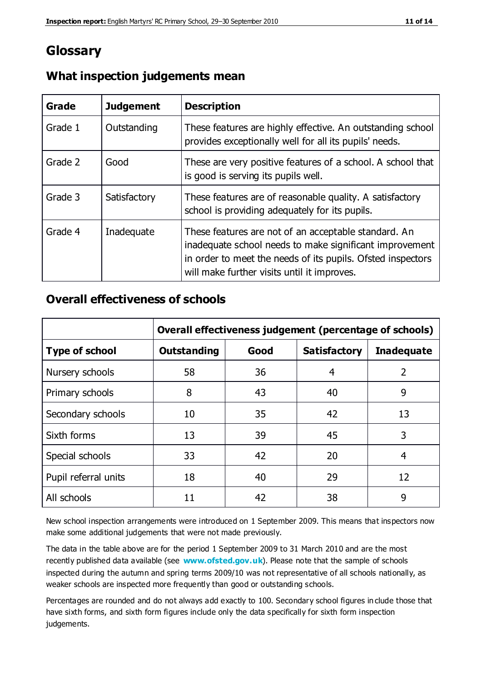## **Glossary**

| Grade   | <b>Judgement</b> | <b>Description</b>                                                                                                                                                                                                            |
|---------|------------------|-------------------------------------------------------------------------------------------------------------------------------------------------------------------------------------------------------------------------------|
| Grade 1 | Outstanding      | These features are highly effective. An outstanding school<br>provides exceptionally well for all its pupils' needs.                                                                                                          |
| Grade 2 | Good             | These are very positive features of a school. A school that<br>is good is serving its pupils well.                                                                                                                            |
| Grade 3 | Satisfactory     | These features are of reasonable quality. A satisfactory<br>school is providing adequately for its pupils.                                                                                                                    |
| Grade 4 | Inadequate       | These features are not of an acceptable standard. An<br>inadequate school needs to make significant improvement<br>in order to meet the needs of its pupils. Ofsted inspectors<br>will make further visits until it improves. |

#### **What inspection judgements mean**

#### **Overall effectiveness of schools**

|                       | Overall effectiveness judgement (percentage of schools) |      |                     |                   |
|-----------------------|---------------------------------------------------------|------|---------------------|-------------------|
| <b>Type of school</b> | <b>Outstanding</b>                                      | Good | <b>Satisfactory</b> | <b>Inadequate</b> |
| Nursery schools       | 58                                                      | 36   | 4                   | $\overline{2}$    |
| Primary schools       | 8                                                       | 43   | 40                  | 9                 |
| Secondary schools     | 10                                                      | 35   | 42                  | 13                |
| Sixth forms           | 13                                                      | 39   | 45                  | 3                 |
| Special schools       | 33                                                      | 42   | 20                  | 4                 |
| Pupil referral units  | 18                                                      | 40   | 29                  | 12                |
| All schools           | 11                                                      | 42   | 38                  | 9                 |

New school inspection arrangements were introduced on 1 September 2009. This means that inspectors now make some additional judgements that were not made previously.

The data in the table above are for the period 1 September 2009 to 31 March 2010 and are the most recently published data available (see **[www.ofsted.gov.uk](http://www.ofsted.gov.uk/)**). Please note that the sample of schools inspected during the autumn and spring terms 2009/10 was not representative of all schools nationally, as weaker schools are inspected more frequently than good or outstanding schools.

Percentages are rounded and do not always add exactly to 100. Secondary school figures in clude those that have sixth forms, and sixth form figures include only the data specifically for sixth form inspection judgements.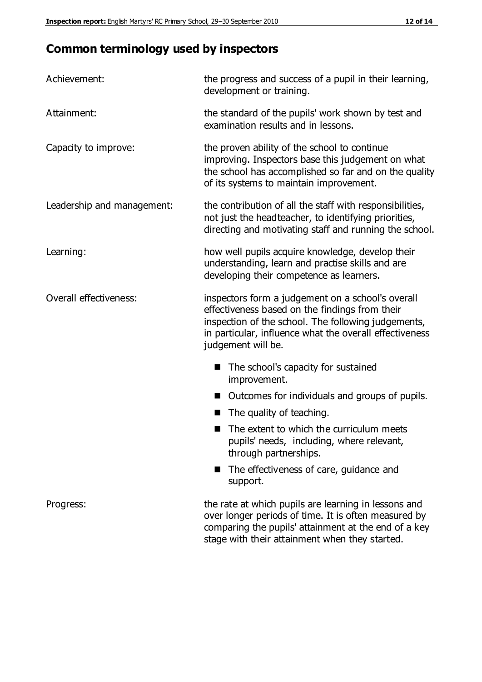# **Common terminology used by inspectors**

| Achievement:               | the progress and success of a pupil in their learning,<br>development or training.                                                                                                                                                          |  |  |
|----------------------------|---------------------------------------------------------------------------------------------------------------------------------------------------------------------------------------------------------------------------------------------|--|--|
| Attainment:                | the standard of the pupils' work shown by test and<br>examination results and in lessons.                                                                                                                                                   |  |  |
| Capacity to improve:       | the proven ability of the school to continue<br>improving. Inspectors base this judgement on what<br>the school has accomplished so far and on the quality<br>of its systems to maintain improvement.                                       |  |  |
| Leadership and management: | the contribution of all the staff with responsibilities,<br>not just the headteacher, to identifying priorities,<br>directing and motivating staff and running the school.                                                                  |  |  |
| Learning:                  | how well pupils acquire knowledge, develop their<br>understanding, learn and practise skills and are<br>developing their competence as learners.                                                                                            |  |  |
| Overall effectiveness:     | inspectors form a judgement on a school's overall<br>effectiveness based on the findings from their<br>inspection of the school. The following judgements,<br>in particular, influence what the overall effectiveness<br>judgement will be. |  |  |
|                            | The school's capacity for sustained<br>improvement.                                                                                                                                                                                         |  |  |
|                            | Outcomes for individuals and groups of pupils.                                                                                                                                                                                              |  |  |
|                            | The quality of teaching.                                                                                                                                                                                                                    |  |  |
|                            | The extent to which the curriculum meets<br>pupils' needs, including, where relevant,<br>through partnerships.                                                                                                                              |  |  |
|                            | The effectiveness of care, guidance and<br>support.                                                                                                                                                                                         |  |  |
| Progress:                  | the rate at which pupils are learning in lessons and<br>over longer periods of time. It is often measured by<br>comparing the pupils' attainment at the end of a key                                                                        |  |  |

stage with their attainment when they started.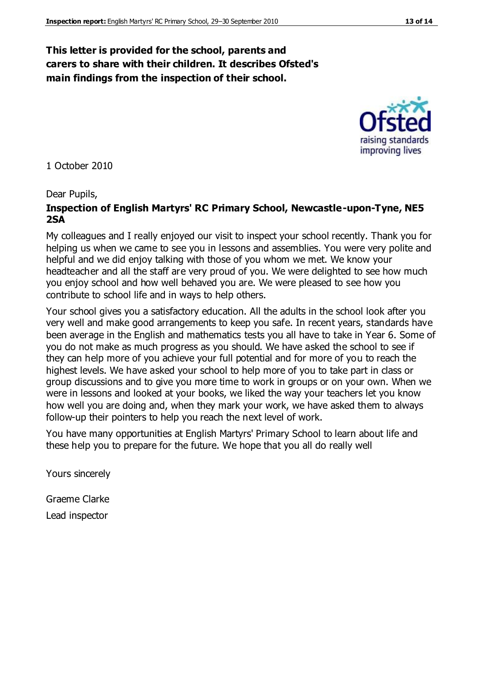#### **This letter is provided for the school, parents and carers to share with their children. It describes Ofsted's main findings from the inspection of their school.**

1 October 2010

#### Dear Pupils,

#### **Inspection of English Martyrs' RC Primary School, Newcastle-upon-Tyne, NE5 2SA**

My colleagues and I really enjoyed our visit to inspect your school recently. Thank you for helping us when we came to see you in lessons and assemblies. You were very polite and helpful and we did enjoy talking with those of you whom we met. We know your headteacher and all the staff are very proud of you. We were delighted to see how much you enjoy school and how well behaved you are. We were pleased to see how you contribute to school life and in ways to help others.

Your school gives you a satisfactory education. All the adults in the school look after you very well and make good arrangements to keep you safe. In recent years, standards have been average in the English and mathematics tests you all have to take in Year 6. Some of you do not make as much progress as you should. We have asked the school to see if they can help more of you achieve your full potential and for more of you to reach the highest levels. We have asked your school to help more of you to take part in class or group discussions and to give you more time to work in groups or on your own. When we were in lessons and looked at your books, we liked the way your teachers let you know how well you are doing and, when they mark your work, we have asked them to always follow-up their pointers to help you reach the next level of work.

You have many opportunities at English Martyrs' Primary School to learn about life and these help you to prepare for the future. We hope that you all do really well

Yours sincerely

Graeme Clarke Lead inspector



raising standards improving lives